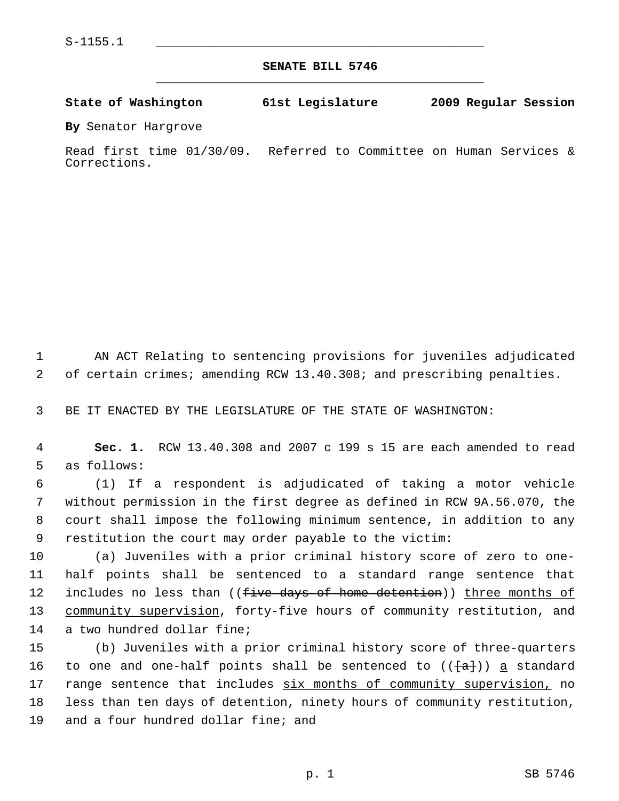**SENATE BILL 5746** \_\_\_\_\_\_\_\_\_\_\_\_\_\_\_\_\_\_\_\_\_\_\_\_\_\_\_\_\_\_\_\_\_\_\_\_\_\_\_\_\_\_\_\_\_

**State of Washington 61st Legislature 2009 Regular Session**

**By** Senator Hargrove

Read first time 01/30/09. Referred to Committee on Human Services & Corrections.

 1 AN ACT Relating to sentencing provisions for juveniles adjudicated 2 of certain crimes; amending RCW 13.40.308; and prescribing penalties.

3 BE IT ENACTED BY THE LEGISLATURE OF THE STATE OF WASHINGTON:

 4 **Sec. 1.** RCW 13.40.308 and 2007 c 199 s 15 are each amended to read 5 as follows:

 6 (1) If a respondent is adjudicated of taking a motor vehicle 7 without permission in the first degree as defined in RCW 9A.56.070, the 8 court shall impose the following minimum sentence, in addition to any 9 restitution the court may order payable to the victim:

10 (a) Juveniles with a prior criminal history score of zero to one-11 half points shall be sentenced to a standard range sentence that 12 includes no less than ((five days of home detention)) three months of 13 community supervision, forty-five hours of community restitution, and 14 a two hundred dollar fine;

15 (b) Juveniles with a prior criminal history score of three-quarters 16 to one and one-half points shall be sentenced to  $((\{a\}) )$  a standard 17 range sentence that includes six months of community supervision, no 18 less than ten days of detention, ninety hours of community restitution, 19 and a four hundred dollar fine; and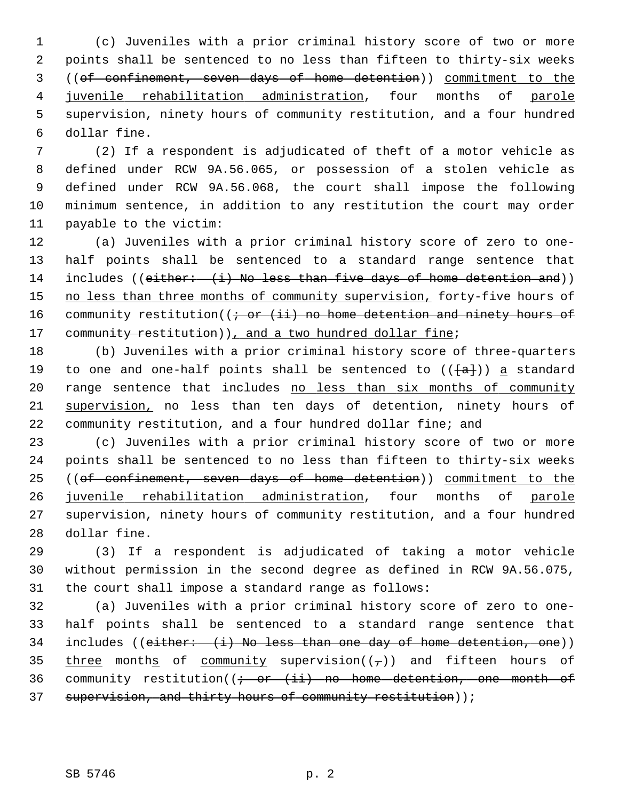1 (c) Juveniles with a prior criminal history score of two or more 2 points shall be sentenced to no less than fifteen to thirty-six weeks 3 ((of confinement, seven days of home detention)) commitment to the 4 juvenile rehabilitation administration, four months of parole 5 supervision, ninety hours of community restitution, and a four hundred 6 dollar fine.

 7 (2) If a respondent is adjudicated of theft of a motor vehicle as 8 defined under RCW 9A.56.065, or possession of a stolen vehicle as 9 defined under RCW 9A.56.068, the court shall impose the following 10 minimum sentence, in addition to any restitution the court may order 11 payable to the victim:

12 (a) Juveniles with a prior criminal history score of zero to one-13 half points shall be sentenced to a standard range sentence that 14 includes ((either: (i) No less than five days of home detention and)) 15 no less than three months of community supervision, forty-five hours of 16 community restitution( $(i - or (ii)$  no home detention and ninety hours of 17 community restitution)), and a two hundred dollar fine;

18 (b) Juveniles with a prior criminal history score of three-quarters 19 to one and one-half points shall be sentenced to  $(\{\texttt{a}\})$  a standard 20 range sentence that includes no less than six months of community 21 supervision, no less than ten days of detention, ninety hours of 22 community restitution, and a four hundred dollar fine; and

23 (c) Juveniles with a prior criminal history score of two or more 24 points shall be sentenced to no less than fifteen to thirty-six weeks 25 ((of confinement, seven days of home detention)) commitment to the 26 juvenile rehabilitation administration, four months of parole 27 supervision, ninety hours of community restitution, and a four hundred 28 dollar fine.

29 (3) If a respondent is adjudicated of taking a motor vehicle 30 without permission in the second degree as defined in RCW 9A.56.075, 31 the court shall impose a standard range as follows:

32 (a) Juveniles with a prior criminal history score of zero to one-33 half points shall be sentenced to a standard range sentence that 34 includes (( $either: (i)$  No less than one day of home detention, one)) 35 three months of community supervision( $(\tau)$ ) and fifteen hours of 36 community restitution( $\left(i - or + i\right)$  no home detention, one month of 37 supervision, and thirty hours of community restitution));